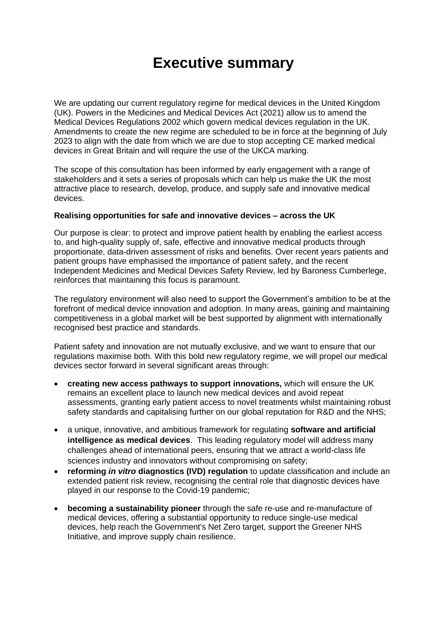## **Executive summary**

We are updating our current regulatory regime for medical devices in the United Kingdom (UK). Powers in the Medicines and Medical Devices Act (2021) allow us to amend the Medical Devices Regulations 2002 which govern medical devices regulation in the UK. Amendments to create the new regime are scheduled to be in force at the beginning of July 2023 to align with the date from which we are due to stop accepting CE marked medical devices in Great Britain and will require the use of the UKCA marking.

The scope of this consultation has been informed by early engagement with a range of stakeholders and it sets a series of proposals which can help us make the UK the most attractive place to research, develop, produce, and supply safe and innovative medical devices.

## **Realising opportunities for safe and innovative devices – across the UK**

Our purpose is clear: to protect and improve patient health by enabling the earliest access to, and high-quality supply of, safe, effective and innovative medical products through proportionate, data-driven assessment of risks and benefits. Over recent years patients and patient groups have emphasised the importance of patient safety, and the recent Independent Medicines and Medical Devices Safety Review, led by Baroness Cumberlege, reinforces that maintaining this focus is paramount.

The regulatory environment will also need to support the Government's ambition to be at the forefront of medical device innovation and adoption. In many areas, gaining and maintaining competitiveness in a global market will be best supported by alignment with internationally recognised best practice and standards.

Patient safety and innovation are not mutually exclusive, and we want to ensure that our regulations maximise both. With this bold new regulatory regime, we will propel our medical devices sector forward in several significant areas through:

- **creating new access pathways to support innovations,** which will ensure the UK remains an excellent place to launch new medical devices and avoid repeat assessments, granting early patient access to novel treatments whilst maintaining robust safety standards and capitalising further on our global reputation for R&D and the NHS;
- a unique, innovative, and ambitious framework for regulating **software and artificial intelligence as medical devices**. This leading regulatory model will address many challenges ahead of international peers, ensuring that we attract a world-class life sciences industry and innovators without compromising on safety;
- **reforming** *in vitro* **diagnostics (IVD) regulation** to update classification and include an extended patient risk review, recognising the central role that diagnostic devices have played in our response to the Covid-19 pandemic;
- **becoming a sustainability pioneer** through the safe re-use and re-manufacture of medical devices, offering a substantial opportunity to reduce single-use medical devices, help reach the Government's Net Zero target, support the Greener NHS Initiative, and improve supply chain resilience.